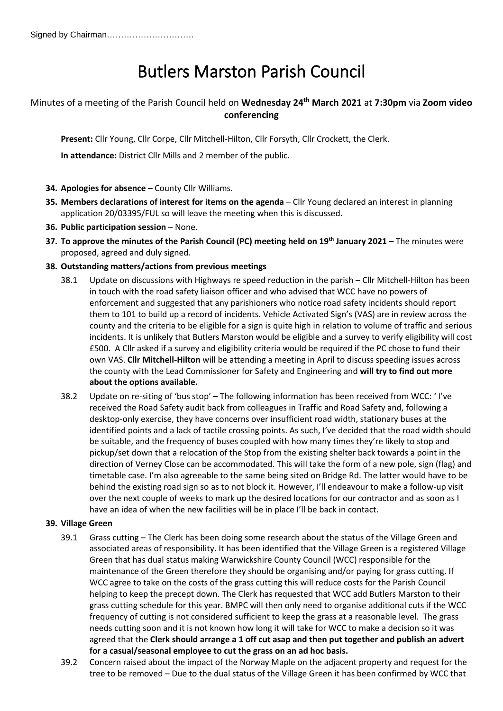# Butlers Marston Parish Council

# Minutes of a meeting of the Parish Council held on **Wednesday 24th March 2021** at **7:30pm** via **Zoom video conferencing**

**Present:** Cllr Young, Cllr Corpe, Cllr Mitchell-Hilton, Cllr Forsyth, Cllr Crockett, the Clerk.

**In attendance:** District Cllr Mills and 2 member of the public.

- **34. Apologies for absence** County Cllr Williams.
- **35. Members declarations of interest for items on the agenda** Cllr Young declared an interest in planning application 20/03395/FUL so will leave the meeting when this is discussed.
- **36. Public participation session** None.
- **37. To approve the minutes of the Parish Council (PC) meeting held on 19 th January 2021** The minutes were proposed, agreed and duly signed.
- **38. Outstanding matters/actions from previous meetings**
	- 38.1 Update on discussions with Highways re speed reduction in the parish Cllr Mitchell-Hilton has been in touch with the road safety liaison officer and who advised that WCC have no powers of enforcement and suggested that any parishioners who notice road safety incidents should report them to 101 to build up a record of incidents. Vehicle Activated Sign's (VAS) are in review across the county and the criteria to be eligible for a sign is quite high in relation to volume of traffic and serious incidents. It is unlikely that Butlers Marston would be eligible and a survey to verify eligibility will cost £500. A Cllr asked if a survey and eligibility criteria would be required if the PC chose to fund their own VAS. **Cllr Mitchell-Hilton** will be attending a meeting in April to discuss speeding issues across the county with the Lead Commissioner for Safety and Engineering and **will try to find out more about the options available.**
	- 38.2 Update on re-siting of 'bus stop' The following information has been received from WCC: ' I've received the Road Safety audit back from colleagues in Traffic and Road Safety and, following a desktop-only exercise, they have concerns over insufficient road width, stationary buses at the identified points and a lack of tactile crossing points. As such, I've decided that the road width should be suitable, and the frequency of buses coupled with how many times they're likely to stop and pickup/set down that a relocation of the Stop from the existing shelter back towards a point in the direction of Verney Close can be accommodated. This will take the form of a new pole, sign (flag) and timetable case. I'm also agreeable to the same being sited on Bridge Rd. The latter would have to be behind the existing road sign so as to not block it. However, I'll endeavour to make a follow-up visit over the next couple of weeks to mark up the desired locations for our contractor and as soon as I have an idea of when the new facilities will be in place I'll be back in contact.

# **39. Village Green**

- 39.1 Grass cutting The Clerk has been doing some research about the status of the Village Green and associated areas of responsibility. It has been identified that the Village Green is a registered Village Green that has dual status making Warwickshire County Council (WCC) responsible for the maintenance of the Green therefore they should be organising and/or paying for grass cutting. If WCC agree to take on the costs of the grass cutting this will reduce costs for the Parish Council helping to keep the precept down. The Clerk has requested that WCC add Butlers Marston to their grass cutting schedule for this year. BMPC will then only need to organise additional cuts if the WCC frequency of cutting is not considered sufficient to keep the grass at a reasonable level. The grass needs cutting soon and it is not known how long it will take for WCC to make a decision so it was agreed that the **Clerk should arrange a 1 off cut asap and then put together and publish an advert for a casual/seasonal employee to cut the grass on an ad hoc basis.**
- 39.2 Concern raised about the impact of the Norway Maple on the adjacent property and request for the tree to be removed – Due to the dual status of the Village Green it has been confirmed by WCC that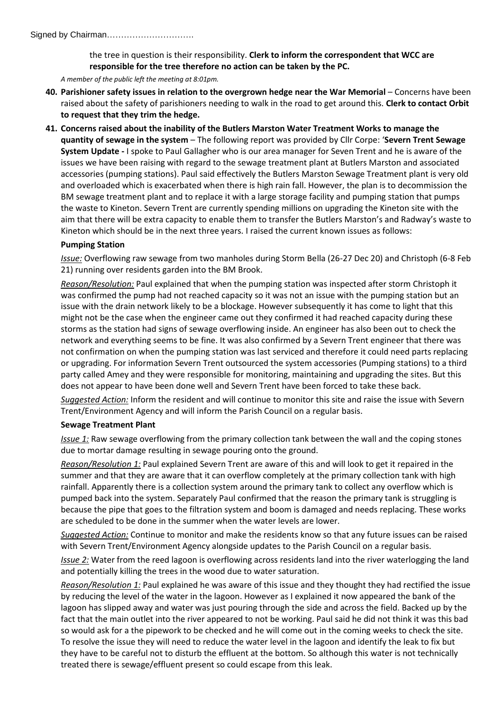#### Signed by Chairman………………………….

the tree in question is their responsibility. **Clerk to inform the correspondent that WCC are responsible for the tree therefore no action can be taken by the PC.**

*A member of the public left the meeting at 8:01pm.*

- **40. Parishioner safety issues in relation to the overgrown hedge near the War Memorial** Concerns have been raised about the safety of parishioners needing to walk in the road to get around this. **Clerk to contact Orbit to request that they trim the hedge.**
- **41. Concerns raised about the inability of the Butlers Marston Water Treatment Works to manage the quantity of sewage in the system** – The following report was provided by Cllr Corpe: '**Severn Trent Sewage System Update -** I spoke to Paul Gallagher who is our area manager for Seven Trent and he is aware of the issues we have been raising with regard to the sewage treatment plant at Butlers Marston and associated accessories (pumping stations). Paul said effectively the Butlers Marston Sewage Treatment plant is very old and overloaded which is exacerbated when there is high rain fall. However, the plan is to decommission the BM sewage treatment plant and to replace it with a large storage facility and pumping station that pumps the waste to Kineton. Severn Trent are currently spending millions on upgrading the Kineton site with the aim that there will be extra capacity to enable them to transfer the Butlers Marston's and Radway's waste to Kineton which should be in the next three years. I raised the current known issues as follows:

#### **Pumping Station**

*Issue:* Overflowing raw sewage from two manholes during Storm Bella (26-27 Dec 20) and Christoph (6-8 Feb 21) running over residents garden into the BM Brook.

*Reason/Resolution:* Paul explained that when the pumping station was inspected after storm Christoph it was confirmed the pump had not reached capacity so it was not an issue with the pumping station but an issue with the drain network likely to be a blockage. However subsequently it has come to light that this might not be the case when the engineer came out they confirmed it had reached capacity during these storms as the station had signs of sewage overflowing inside. An engineer has also been out to check the network and everything seems to be fine. It was also confirmed by a Severn Trent engineer that there was not confirmation on when the pumping station was last serviced and therefore it could need parts replacing or upgrading. For information Severn Trent outsourced the system accessories (Pumping stations) to a third party called Amey and they were responsible for monitoring, maintaining and upgrading the sites. But this does not appear to have been done well and Severn Trent have been forced to take these back.

*Suggested Action:* Inform the resident and will continue to monitor this site and raise the issue with Severn Trent/Environment Agency and will inform the Parish Council on a regular basis.

#### **Sewage Treatment Plant**

*Issue 1:* Raw sewage overflowing from the primary collection tank between the wall and the coping stones due to mortar damage resulting in sewage pouring onto the ground.

*Reason/Resolution 1:* Paul explained Severn Trent are aware of this and will look to get it repaired in the summer and that they are aware that it can overflow completely at the primary collection tank with high rainfall. Apparently there is a collection system around the primary tank to collect any overflow which is pumped back into the system. Separately Paul confirmed that the reason the primary tank is struggling is because the pipe that goes to the filtration system and boom is damaged and needs replacing. These works are scheduled to be done in the summer when the water levels are lower.

*Suggested Action:* Continue to monitor and make the residents know so that any future issues can be raised with Severn Trent/Environment Agency alongside updates to the Parish Council on a regular basis.

*Issue 2:* Water from the reed lagoon is overflowing across residents land into the river waterlogging the land and potentially killing the trees in the wood due to water saturation.

*Reason/Resolution 1:* Paul explained he was aware of this issue and they thought they had rectified the issue by reducing the level of the water in the lagoon. However as I explained it now appeared the bank of the lagoon has slipped away and water was just pouring through the side and across the field. Backed up by the fact that the main outlet into the river appeared to not be working. Paul said he did not think it was this bad so would ask for a the pipework to be checked and he will come out in the coming weeks to check the site. To resolve the issue they will need to reduce the water level in the lagoon and identify the leak to fix but they have to be careful not to disturb the effluent at the bottom. So although this water is not technically treated there is sewage/effluent present so could escape from this leak.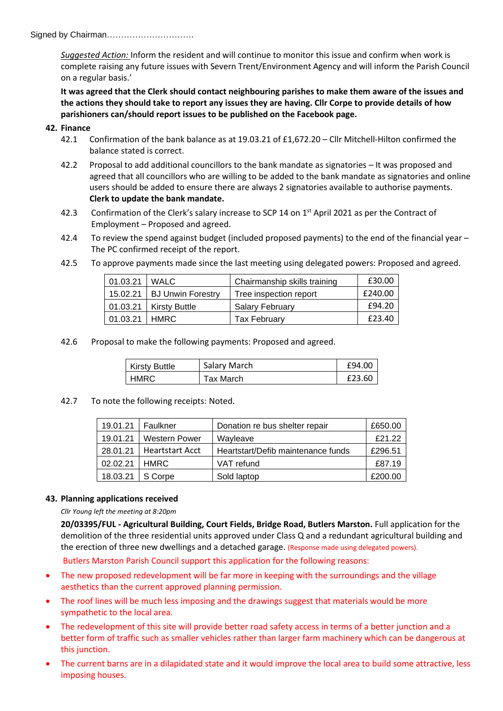Signed by Chairman………………………….

*Suggested Action:* Inform the resident and will continue to monitor this issue and confirm when work is complete raising any future issues with Severn Trent/Environment Agency and will inform the Parish Council on a regular basis.'

**It was agreed that the Clerk should contact neighbouring parishes to make them aware of the issues and the actions they should take to report any issues they are having. Cllr Corpe to provide details of how parishioners can/should report issues to be published on the Facebook page.**

### **42. Finance**

- 42.1 Confirmation of the bank balance as at 19.03.21 of £1,672.20 Cllr Mitchell-Hilton confirmed the balance stated is correct.
- 42.2 Proposal to add additional councillors to the bank mandate as signatories It was proposed and agreed that all councillors who are willing to be added to the bank mandate as signatories and online users should be added to ensure there are always 2 signatories available to authorise payments. **Clerk to update the bank mandate.**
- 42.3 Confirmation of the Clerk's salary increase to SCP 14 on 1<sup>st</sup> April 2021 as per the Contract of Employment – Proposed and agreed.
- 42.4 To review the spend against budget (included proposed payments) to the end of the financial year The PC confirmed receipt of the report.
- 42.5 To approve payments made since the last meeting using delegated powers: Proposed and agreed.

| 01.03.21 | <b>WALC</b>              | Chairmanship skills training | £30.00  |
|----------|--------------------------|------------------------------|---------|
| 15.02.21 | <b>BJ Unwin Forestry</b> | Tree inspection report       | £240.00 |
| 01.03.21 | Kirsty Buttle            | <b>Salary February</b>       | £94.20  |
| 01.03.21 | HMRC.                    | <b>Tax February</b>          | £23.40  |

42.6 Proposal to make the following payments: Proposed and agreed.

| <b>Kirsty Buttle</b> | Salary March | £94.00 |
|----------------------|--------------|--------|
| <b>HMRC</b>          | Tax March    | £23.60 |

42.7 To note the following receipts: Noted.

| 19.01.21 | Faulkner             | Donation re bus shelter repair     | £650.00 |
|----------|----------------------|------------------------------------|---------|
| 19.01.21 | <b>Western Power</b> | Wayleave                           | £21.22  |
| 28.01.21 | Heartstart Acct      | Heartstart/Defib maintenance funds | £296.51 |
| 02.02.21 | <b>HMRC</b>          | VAT refund                         | £87.19  |
| 18.03.21 | S Corpe              | Sold laptop                        | £200.00 |

#### **43. Planning applications received**

*Cllr Young left the meeting at 8:20pm*

**20/03395/FUL - Agricultural Building, Court Fields, Bridge Road, Butlers Marston.** Full application for the demolition of the three residential units approved under Class Q and a redundant agricultural building and the erection of three new dwellings and a detached garage. (Response made using delegated powers).

Butlers Marston Parish Council support this application for the following reasons:

- The new proposed redevelopment will be far more in keeping with the surroundings and the village aesthetics than the current approved planning permission.
- The roof lines will be much less imposing and the drawings suggest that materials would be more sympathetic to the local area.
- The redevelopment of this site will provide better road safety access in terms of a better junction and a better form of traffic such as smaller vehicles rather than larger farm machinery which can be dangerous at this junction.
- The current barns are in a dilapidated state and it would improve the local area to build some attractive, less imposing houses.